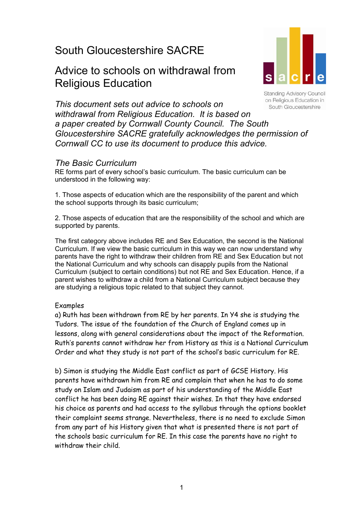# South Gloucestershire SACRE

# Advice to schools on withdrawal from Religious Education



**Standing Advisory Council** on Religious Education in South Gloucestershire

*This document sets out advice to schools on withdrawal from Religious Education. It is based on a paper created by Cornwall County Council. The South Gloucestershire SACRE gratefully acknowledges the permission of Cornwall CC to use its document to produce this advice.* 

# *The Basic Curriculum*

RE forms part of every school's basic curriculum. The basic curriculum can be understood in the following way:

1. Those aspects of education which are the responsibility of the parent and which the school supports through its basic curriculum;

2. Those aspects of education that are the responsibility of the school and which are supported by parents.

The first category above includes RE and Sex Education, the second is the National Curriculum. If we view the basic curriculum in this way we can now understand why parents have the right to withdraw their children from RE and Sex Education but not the National Curriculum and why schools can disapply pupils from the National Curriculum (subject to certain conditions) but not RE and Sex Education. Hence, if a parent wishes to withdraw a child from a National Curriculum subject because they are studying a religious topic related to that subject they cannot.

## Examples

a) Ruth has been withdrawn from RE by her parents. In Y4 she is studying the Tudors. The issue of the foundation of the Church of England comes up in lessons, along with general considerations about the impact of the Reformation. Ruth's parents cannot withdraw her from History as this is a National Curriculum Order and what they study is not part of the school's basic curriculum for RE.

b) Simon is studying the Middle East conflict as part of GCSE History. His parents have withdrawn him from RE and complain that when he has to do some study on Islam and Judaism as part of his understanding of the Middle East conflict he has been doing RE against their wishes. In that they have endorsed his choice as parents and had access to the syllabus through the options booklet their complaint seems strange. Nevertheless, there is no need to exclude Simon from any part of his History given that what is presented there is not part of the schools basic curriculum for RE. In this case the parents have no right to withdraw their child.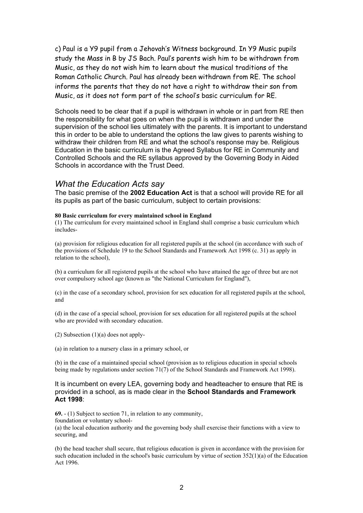c) Paul is a Y9 pupil from a Jehovah's Witness background. In Y9 Music pupils study the Mass in B by JS Bach. Paul's parents wish him to be withdrawn from Music, as they do not wish him to learn about the musical traditions of the Roman Catholic Church. Paul has already been withdrawn from RE. The school informs the parents that they do not have a right to withdraw their son from Music, as it does not form part of the school's basic curriculum for RE.

Schools need to be clear that if a pupil is withdrawn in whole or in part from RE then the responsibility for what goes on when the pupil is withdrawn and under the supervision of the school lies ultimately with the parents. It is important to understand this in order to be able to understand the options the law gives to parents wishing to withdraw their children from RE and what the school's response may be. Religious Education in the basic curriculum is the Agreed Syllabus for RE in Community and Controlled Schools and the RE syllabus approved by the Governing Body in Aided Schools in accordance with the Trust Deed.

## *What the Education Acts say*

The basic premise of the **2002 Education Act** is that a school will provide RE for all its pupils as part of the basic curriculum, subject to certain provisions:

#### **80 Basic curriculum for every maintained school in England**

(1) The curriculum for every maintained school in England shall comprise a basic curriculum which includes-

(a) provision for religious education for all registered pupils at the school (in accordance with such of the provisions of Schedule 19 to the School Standards and Framework Act 1998 (c. 31) as apply in relation to the school),

(b) a curriculum for all registered pupils at the school who have attained the age of three but are not over compulsory school age (known as "the National Curriculum for England"),

(c) in the case of a secondary school, provision for sex education for all registered pupils at the school, and

(d) in the case of a special school, provision for sex education for all registered pupils at the school who are provided with secondary education.

(2) Subsection (1)(a) does not apply-

(a) in relation to a nursery class in a primary school, or

(b) in the case of a maintained special school (provision as to religious education in special schools being made by regulations under section 71(7) of the School Standards and Framework Act 1998).

It is incumbent on every LEA, governing body and headteacher to ensure that RE is provided in a school, as is made clear in the **School Standards and Framework Act 1998**:

**69.** - (1) Subject to section 71, in relation to any community, foundation or voluntary school- (a) the local education authority and the governing body shall exercise their functions with a view to securing, and

(b) the head teacher shall secure, that religious education is given in accordance with the provision for such education included in the school's basic curriculum by virtue of section  $352(1)(a)$  of the Education Act 1996.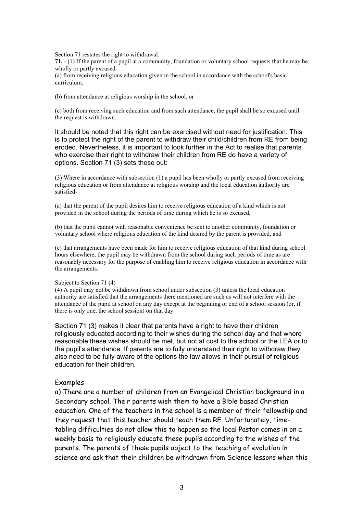Section 71 restates the right to withdrawal:

**71.** - (1) If the parent of a pupil at a community, foundation or voluntary school requests that he may be wholly or partly excused-

(a) from receiving religious education given in the school in accordance with the school's basic curriculum,

(b) from attendance at religious worship in the school, or

(c) both from receiving such education and from such attendance, the pupil shall be so excused until the request is withdrawn.

It should be noted that this right can be exercised without need for justification. This is to protect the right of the parent to withdraw their child/children from RE from being eroded. Nevertheless, it is important to look further in the Act to realise that parents who exercise their right to withdraw their children from RE do have a variety of options. Section 71 (3) sets these out:

(3) Where in accordance with subsection (1) a pupil has been wholly or partly excused from receiving religious education or from attendance at religious worship and the local education authority are satisfied-

(a) that the parent of the pupil desires him to receive religious education of a kind which is not provided in the school during the periods of time during which he is so excused,

(b) that the pupil cannot with reasonable convenience be sent to another community, foundation or voluntary school where religious education of the kind desired by the parent is provided, and

(c) that arrangements have been made for him to receive religious education of that kind during school hours elsewhere, the pupil may be withdrawn from the school during such periods of time as are reasonably necessary for the purpose of enabling him to receive religious education in accordance with the arrangements.

#### Subject to Section 71 (4)

(4) A pupil may not be withdrawn from school under subsection (3) unless the local education authority are satisfied that the arrangements there mentioned are such as will not interfere with the attendance of the pupil at school on any day except at the beginning or end of a school session (or, if there is only one, the school session) on that day.

Section 71 (3) makes it clear that parents have a right to have their children religiously educated according to their wishes during the school day and that where reasonable these wishes should be met, but not at cost to the school or the LEA or to the pupil's attendance. If parents are to fully understand their right to withdraw they also need to be fully aware of the options the law allows in their pursuit of religious education for their children.

#### Examples

a) There are a number of children from an Evangelical Christian background in a Secondary school. Their parents wish them to have a Bible based Christian education. One of the teachers in the school is a member of their fellowship and they request that this teacher should teach them RE. Unfortunately, timetabling difficulties do not allow this to happen so the local Pastor comes in on a weekly basis to religiously educate these pupils according to the wishes of the parents. The parents of these pupils object to the teaching of evolution in science and ask that their children be withdrawn from Science lessons when this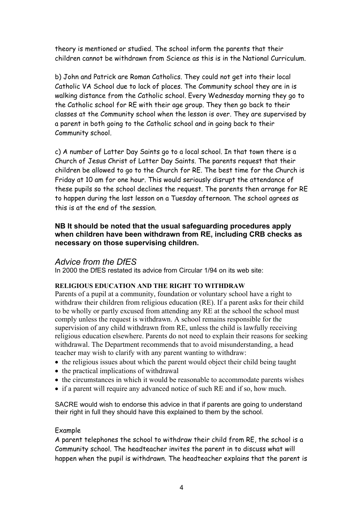theory is mentioned or studied. The school inform the parents that their children cannot be withdrawn from Science as this is in the National Curriculum.

b) John and Patrick are Roman Catholics. They could not get into their local Catholic VA School due to lack of places. The Community school they are in is walking distance from the Catholic school. Every Wednesday morning they go to the Catholic school for RE with their age group. They then go back to their classes at the Community school when the lesson is over. They are supervised by a parent in both going to the Catholic school and in going back to their Community school.

c) A number of Latter Day Saints go to a local school. In that town there is a Church of Jesus Christ of Latter Day Saints. The parents request that their children be allowed to go to the Church for RE. The best time for the Church is Friday at 10 am for one hour. This would seriously disrupt the attendance of these pupils so the school declines the request. The parents then arrange for RE to happen during the last lesson on a Tuesday afternoon. The school agrees as this is at the end of the session.

## **NB It should be noted that the usual safeguarding procedures apply when children have been withdrawn from RE, including CRB checks as necessary on those supervising children.**

# *Advice from the DfES*

In 2000 the DfES restated its advice from Circular 1/94 on its web site:

## **RELIGIOUS EDUCATION AND THE RIGHT TO WITHDRAW**

Parents of a pupil at a community, foundation or voluntary school have a right to withdraw their children from religious education (RE). If a parent asks for their child to be wholly or partly excused from attending any RE at the school the school must comply unless the request is withdrawn. A school remains responsible for the supervision of any child withdrawn from RE, unless the child is lawfully receiving religious education elsewhere. Parents do not need to explain their reasons for seeking withdrawal. The Department recommends that to avoid misunderstanding, a head teacher may wish to clarify with any parent wanting to withdraw:

- the religious issues about which the parent would object their child being taught
- the practical implications of withdrawal
- the circumstances in which it would be reasonable to accommodate parents wishes
- if a parent will require any advanced notice of such RE and if so, how much.

SACRE would wish to endorse this advice in that if parents are going to understand their right in full they should have this explained to them by the school.

## Example

A parent telephones the school to withdraw their child from RE, the school is a Community school. The headteacher invites the parent in to discuss what will happen when the pupil is withdrawn. The headteacher explains that the parent is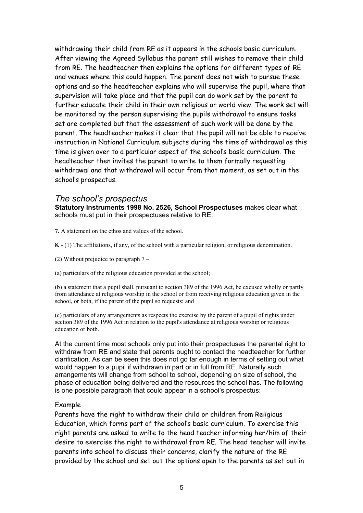withdrawing their child from RE as it appears in the schools basic curriculum. After viewing the Agreed Syllabus the parent still wishes to remove their child from RE. The headteacher then explains the options for different types of RE and venues where this could happen. The parent does not wish to pursue these options and so the headteacher explains who will supervise the pupil, where that supervision will take place and that the pupil can do work set by the parent to further educate their child in their own religious or world view. The work set will be monitored by the person supervising the pupils withdrawal to ensure tasks set are completed but that the assessment of such work will be done by the parent. The headteacher makes it clear that the pupil will not be able to receive instruction in National Curriculum subjects during the time of withdrawal as this time is given over to a particular aspect of the school's basic curriculum. The headteacher then invites the parent to write to them formally requesting withdrawal and that withdrawal will occur from that moment, as set out in the school's prospectus.

#### *The school's prospectus*

**Statutory Instruments 1998 No. 2526, School Prospectuses** makes clear what schools must put in their prospectuses relative to RE:

**7.** A statement on the ethos and values of the school.

- **8.**  (1) The affiliations, if any, of the school with a particular religion, or religious denomination.
- (2) Without prejudice to paragraph 7 –
- (a) particulars of the religious education provided at the school;

(b) a statement that a pupil shall, pursuant to section 389 of the 1996 Act, be excused wholly or partly from attendance at religious worship in the school or from receiving religious education given in the school, or both, if the parent of the pupil so requests; and

(c) particulars of any arrangements as respects the exercise by the parent of a pupil of rights under section 389 of the 1996 Act in relation to the pupil's attendance at religious worship or religious education or both.

At the current time most schools only put into their prospectuses the parental right to withdraw from RE and state that parents ought to contact the headteacher for further clarification. As can be seen this does not go far enough in terms of setting out what would happen to a pupil if withdrawn in part or in full from RE. Naturally such arrangements will change from school to school, depending on size of school, the phase of education being delivered and the resources the school has. The following is one possible paragraph that could appear in a school's prospectus:

#### Example

Parents have the right to withdraw their child or children from Religious Education, which forms part of the school's basic curriculum. To exercise this right parents are asked to write to the head teacher informing her/him of their desire to exercise the right to withdrawal from RE. The head teacher will invite parents into school to discuss their concerns, clarify the nature of the RE provided by the school and set out the options open to the parents as set out in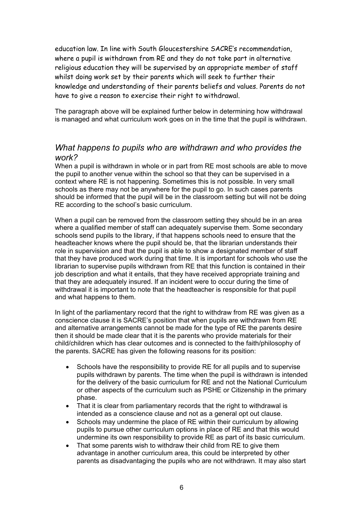education law. In line with South Gloucestershire SACRE's recommendation, where a pupil is withdrawn from RE and they do not take part in alternative religious education they will be supervised by an appropriate member of staff whilst doing work set by their parents which will seek to further their knowledge and understanding of their parents beliefs and values. Parents do not have to give a reason to exercise their right to withdrawal.

The paragraph above will be explained further below in determining how withdrawal is managed and what curriculum work goes on in the time that the pupil is withdrawn.

## *What happens to pupils who are withdrawn and who provides the work?*

When a pupil is withdrawn in whole or in part from RE most schools are able to move the pupil to another venue within the school so that they can be supervised in a context where RE is not happening. Sometimes this is not possible. In very small schools as there may not be anywhere for the pupil to go. In such cases parents should be informed that the pupil will be in the classroom setting but will not be doing RE according to the school's basic curriculum.

When a pupil can be removed from the classroom setting they should be in an area where a qualified member of staff can adequately supervise them. Some secondary schools send pupils to the library, if that happens schools need to ensure that the headteacher knows where the pupil should be, that the librarian understands their role in supervision and that the pupil is able to show a designated member of staff that they have produced work during that time. It is important for schools who use the librarian to supervise pupils withdrawn from RE that this function is contained in their job description and what it entails, that they have received appropriate training and that they are adequately insured. If an incident were to occur during the time of withdrawal it is important to note that the headteacher is responsible for that pupil and what happens to them.

In light of the parliamentary record that the right to withdraw from RE was given as a conscience clause it is SACRE's position that when pupils are withdrawn from RE and alternative arrangements cannot be made for the type of RE the parents desire then it should be made clear that it is the parents who provide materials for their child/children which has clear outcomes and is connected to the faith/philosophy of the parents. SACRE has given the following reasons for its position:

- Schools have the responsibility to provide RE for all pupils and to supervise pupils withdrawn by parents. The time when the pupil is withdrawn is intended for the delivery of the basic curriculum for RE and not the National Curriculum or other aspects of the curriculum such as PSHE or Citizenship in the primary phase.
- That it is clear from parliamentary records that the right to withdrawal is intended as a conscience clause and not as a general opt out clause.
- Schools may undermine the place of RE within their curriculum by allowing pupils to pursue other curriculum options in place of RE and that this would undermine its own responsibility to provide RE as part of its basic curriculum.
- That some parents wish to withdraw their child from RE to give them advantage in another curriculum area, this could be interpreted by other parents as disadvantaging the pupils who are not withdrawn. It may also start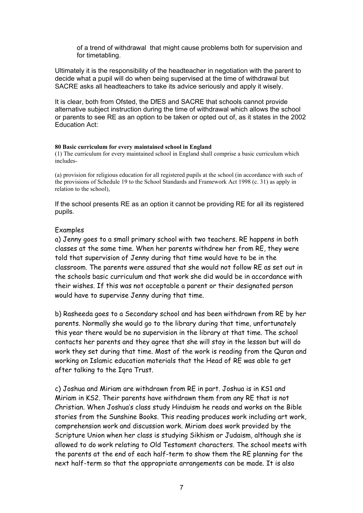of a trend of withdrawal that might cause problems both for supervision and for timetabling.

Ultimately it is the responsibility of the headteacher in negotiation with the parent to decide what a pupil will do when being supervised at the time of withdrawal but SACRE asks all headteachers to take its advice seriously and apply it wisely.

It is clear, both from Ofsted, the DfES and SACRE that schools cannot provide alternative subject instruction during the time of withdrawal which allows the school or parents to see RE as an option to be taken or opted out of, as it states in the 2002 Education Act:

#### **80 Basic curriculum for every maintained school in England**

(1) The curriculum for every maintained school in England shall comprise a basic curriculum which includes-

(a) provision for religious education for all registered pupils at the school (in accordance with such of the provisions of Schedule 19 to the School Standards and Framework Act 1998 (c. 31) as apply in relation to the school),

If the school presents RE as an option it cannot be providing RE for all its registered pupils.

#### Examples

a) Jenny goes to a small primary school with two teachers. RE happens in both classes at the same time. When her parents withdrew her from RE, they were told that supervision of Jenny during that time would have to be in the classroom. The parents were assured that she would not follow RE as set out in the schools basic curriculum and that work she did would be in accordance with their wishes. If this was not acceptable a parent or their designated person would have to supervise Jenny during that time.

b) Rasheeda goes to a Secondary school and has been withdrawn from RE by her parents. Normally she would go to the library during that time, unfortunately this year there would be no supervision in the library at that time. The school contacts her parents and they agree that she will stay in the lesson but will do work they set during that time. Most of the work is reading from the Quran and working on Islamic education materials that the Head of RE was able to get after talking to the Iqra Trust.

c) Joshua and Miriam are withdrawn from RE in part. Joshua is in KS1 and Miriam in KS2. Their parents have withdrawn them from any RE that is not Christian. When Joshua's class study Hinduism he reads and works on the Bible stories from the Sunshine Books. This reading produces work including art work, comprehension work and discussion work. Miriam does work provided by the Scripture Union when her class is studying Sikhism or Judaism, although she is allowed to do work relating to Old Testament characters. The school meets with the parents at the end of each half-term to show them the RE planning for the next half-term so that the appropriate arrangements can be made. It is also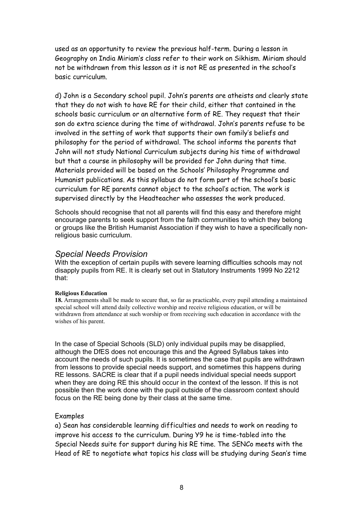used as an opportunity to review the previous half-term. During a lesson in Geography on India Miriam's class refer to their work on Sikhism. Miriam should not be withdrawn from this lesson as it is not RE as presented in the school's basic curriculum.

d) John is a Secondary school pupil. John's parents are atheists and clearly state that they do not wish to have RE for their child, either that contained in the schools basic curriculum or an alternative form of RE. They request that their son do extra science during the time of withdrawal. John's parents refuse to be involved in the setting of work that supports their own family's beliefs and philosophy for the period of withdrawal. The school informs the parents that John will not study National Curriculum subjects during his time of withdrawal but that a course in philosophy will be provided for John during that time. Materials provided will be based on the Schools' Philosophy Programme and Humanist publications. As this syllabus do not form part of the school's basic curriculum for RE parents cannot object to the school's action. The work is supervised directly by the Headteacher who assesses the work produced.

Schools should recognise that not all parents will find this easy and therefore might encourage parents to seek support from the faith communities to which they belong or groups like the British Humanist Association if they wish to have a specifically nonreligious basic curriculum.

# *Special Needs Provision*

With the exception of certain pupils with severe learning difficulties schools may not disapply pupils from RE. It is clearly set out in Statutory Instruments 1999 No 2212 that:

#### **Religious Education**

**18.** Arrangements shall be made to secure that, so far as practicable, every pupil attending a maintained special school will attend daily collective worship and receive religious education, or will be withdrawn from attendance at such worship or from receiving such education in accordance with the wishes of his parent.

In the case of Special Schools (SLD) only individual pupils may be disapplied, although the DfES does not encourage this and the Agreed Syllabus takes into account the needs of such pupils. It is sometimes the case that pupils are withdrawn from lessons to provide special needs support, and sometimes this happens during RE lessons. SACRE is clear that if a pupil needs individual special needs support when they are doing RE this should occur in the context of the lesson. If this is not possible then the work done with the pupil outside of the classroom context should focus on the RE being done by their class at the same time.

## Examples

a) Sean has considerable learning difficulties and needs to work on reading to improve his access to the curriculum. During Y9 he is time-tabled into the Special Needs suite for support during his RE time. The SENCo meets with the Head of RE to negotiate what topics his class will be studying during Sean's time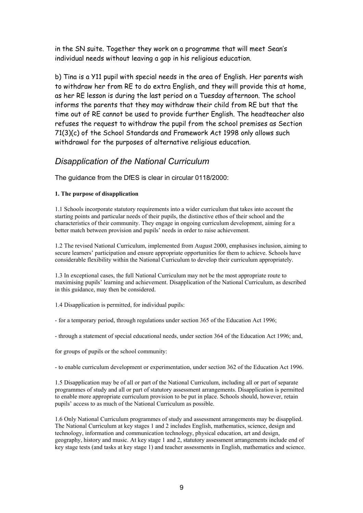in the SN suite. Together they work on a programme that will meet Sean's individual needs without leaving a gap in his religious education.

b) Tina is a Y11 pupil with special needs in the area of English. Her parents wish to withdraw her from RE to do extra English, and they will provide this at home, as her RE lesson is during the last period on a Tuesday afternoon. The school informs the parents that they may withdraw their child from RE but that the time out of RE cannot be used to provide further English. The headteacher also refuses the request to withdraw the pupil from the school premises as Section 71(3)(c) of the School Standards and Framework Act 1998 only allows such withdrawal for the purposes of alternative religious education.

# *Disapplication of the National Curriculum*

The guidance from the DfES is clear in circular 0118/2000:

#### **1. The purpose of disapplication**

1.1 Schools incorporate statutory requirements into a wider curriculum that takes into account the starting points and particular needs of their pupils, the distinctive ethos of their school and the characteristics of their community. They engage in ongoing curriculum development, aiming for a better match between provision and pupils' needs in order to raise achievement.

1.2 The revised National Curriculum, implemented from August 2000, emphasises inclusion, aiming to secure learners' participation and ensure appropriate opportunities for them to achieve. Schools have considerable flexibility within the National Curriculum to develop their curriculum appropriately.

1.3 In exceptional cases, the full National Curriculum may not be the most appropriate route to maximising pupils' learning and achievement. Disapplication of the National Curriculum, as described in this guidance, may then be considered.

1.4 Disapplication is permitted, for individual pupils:

- for a temporary period, through regulations under section 365 of the Education Act 1996;

- through a statement of special educational needs, under section 364 of the Education Act 1996; and,

for groups of pupils or the school community:

- to enable curriculum development or experimentation, under section 362 of the Education Act 1996.

1.5 Disapplication may be of all or part of the National Curriculum, including all or part of separate programmes of study and all or part of statutory assessment arrangements. Disapplication is permitted to enable more appropriate curriculum provision to be put in place. Schools should, however, retain pupils' access to as much of the National Curriculum as possible.

1.6 Only National Curriculum programmes of study and assessment arrangements may be disapplied. The National Curriculum at key stages 1 and 2 includes English, mathematics, science, design and technology, information and communication technology, physical education, art and design, geography, history and music. At key stage 1 and 2, statutory assessment arrangements include end of key stage tests (and tasks at key stage 1) and teacher assessments in English, mathematics and science.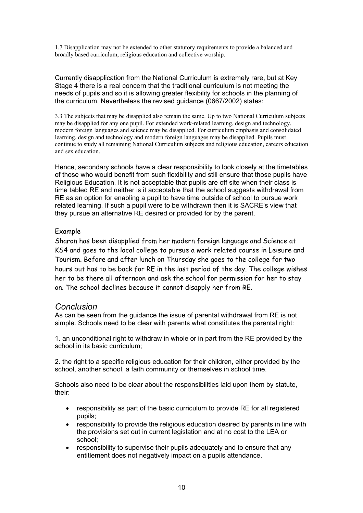1.7 Disapplication may not be extended to other statutory requirements to provide a balanced and broadly based curriculum, religious education and collective worship.

Currently disapplication from the National Curriculum is extremely rare, but at Key Stage 4 there is a real concern that the traditional curriculum is not meeting the needs of pupils and so it is allowing greater flexibility for schools in the planning of the curriculum. Nevertheless the revised guidance (0667/2002) states:

3.3 The subjects that may be disapplied also remain the same. Up to two National Curriculum subjects may be disapplied for any one pupil. For extended work-related learning, design and technology, modern foreign languages and science may be disapplied. For curriculum emphasis and consolidated learning, design and technology and modern foreign languages may be disapplied. Pupils must continue to study all remaining National Curriculum subjects and religious education, careers education and sex education.

Hence, secondary schools have a clear responsibility to look closely at the timetables of those who would benefit from such flexibility and still ensure that those pupils have Religious Education. It is not acceptable that pupils are off site when their class is time tabled RE and neither is it acceptable that the school suggests withdrawal from RE as an option for enabling a pupil to have time outside of school to pursue work related learning. If such a pupil were to be withdrawn then it is SACRE's view that they pursue an alternative RE desired or provided for by the parent.

#### Example

Sharon has been disapplied from her modern foreign language and Science at KS4 and goes to the local college to pursue a work related course in Leisure and Tourism. Before and after lunch on Thursday she goes to the college for two hours but has to be back for RE in the last period of the day. The college wishes her to be there all afternoon and ask the school for permission for her to stay on. The school declines because it cannot disapply her from RE.

## *Conclusion*

As can be seen from the guidance the issue of parental withdrawal from RE is not simple. Schools need to be clear with parents what constitutes the parental right:

1. an unconditional right to withdraw in whole or in part from the RE provided by the school in its basic curriculum;

2. the right to a specific religious education for their children, either provided by the school, another school, a faith community or themselves in school time.

Schools also need to be clear about the responsibilities laid upon them by statute, their:

- responsibility as part of the basic curriculum to provide RE for all registered pupils;
- responsibility to provide the religious education desired by parents in line with the provisions set out in current legislation and at no cost to the LEA or school;
- responsibility to supervise their pupils adequately and to ensure that any entitlement does not negatively impact on a pupils attendance.